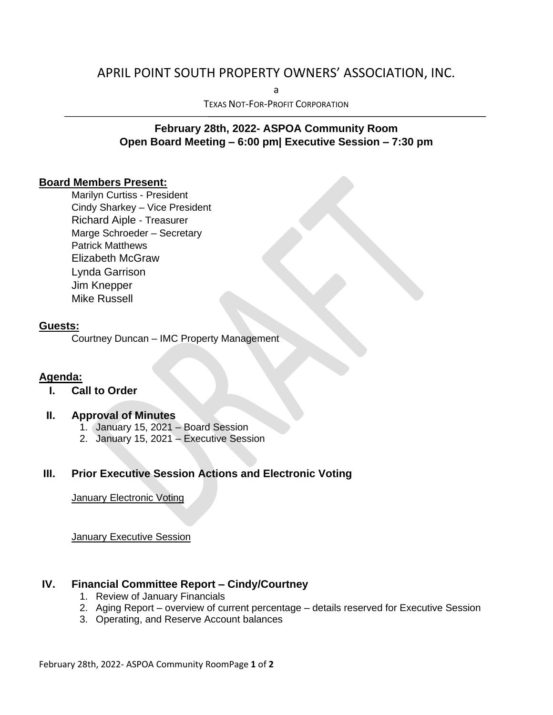# APRIL POINT SOUTH PROPERTY OWNERS' ASSOCIATION, INC.

a

TEXAS NOT-FOR-PROFIT CORPORATION

# **February 28th, 2022- ASPOA Community Room Open Board Meeting – 6:00 pm| Executive Session – 7:30 pm**

### **Board Members Present:**

Marilyn Curtiss - President Cindy Sharkey – Vice President Richard Aiple - Treasurer Marge Schroeder – Secretary Patrick Matthews Elizabeth McGraw Lynda Garrison Jim Knepper Mike Russell

#### **Guests:**

Courtney Duncan – IMC Property Management

#### **Agenda:**

**I. Call to Order**

#### **II. Approval of Minutes**

- 1. January 15, 2021 Board Session
- 2. January 15, 2021 Executive Session

### **III. Prior Executive Session Actions and Electronic Voting**

**January Electronic Voting** 

January Executive Session

#### **IV. Financial Committee Report – Cindy/Courtney**

- 1. Review of January Financials
- 2. Aging Report overview of current percentage details reserved for Executive Session
- 3. Operating, and Reserve Account balances